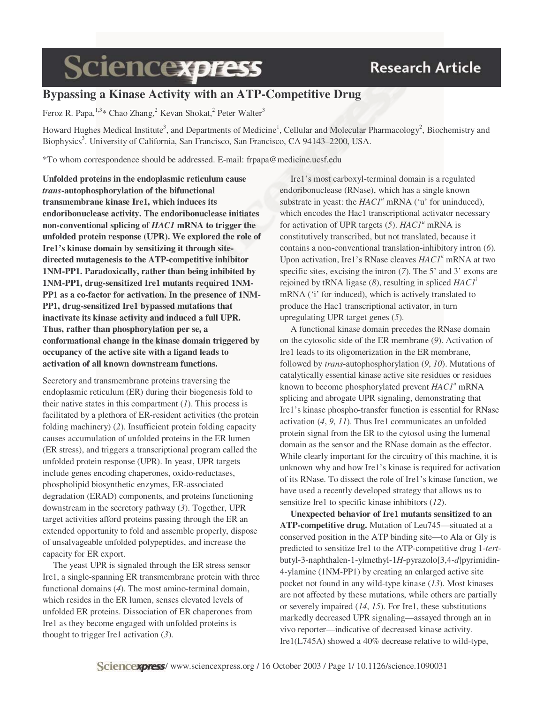# **Sciencexpress**

## **Research Article**

## **Bypassing a Kinase Activity with an ATP-Competitive Drug**

Feroz R. Papa,<sup>1,3\*</sup> Chao Zhang,<sup>2</sup> Kevan Shokat,<sup>2</sup> Peter Walter<sup>3</sup>

Howard Hughes Medical Institute<sup>3</sup>, and Departments of Medicine<sup>1</sup>, Cellular and Molecular Pharmacology<sup>2</sup>, Biochemistry and Biophysics<sup>3</sup>. University of California, San Francisco, San Francisco, CA 94143-2200, USA.

\*To whom correspondence should be addressed. E-mail: frpapa@medicine.ucsf.edu

**Unfolded proteins in the endoplasmic reticulum cause** *trans***-autophosphorylation of the bifunctional transmembrane kinase Ire1, which induces its endoribonuclease activity. The endoribonuclease initiates non-conventional splicing of** *HAC1* **mRNA to trigger the unfolded protein response (UPR). We explored the role of Ire1's kinase domain by sensitizing it through sitedirected mutagenesis to the ATP-competitive inhibitor 1NM-PP1. Paradoxically, rather than being inhibited by 1NM-PP1, drug-sensitized Ire1 mutants required 1NM-PP1 as a co-factor for activation. In the presence of 1NM-PP1, drug-sensitized Ire1 bypassed mutations that inactivate its kinase activity and induced a full UPR. Thus, rather than phosphorylation per se, a conformational change in the kinase domain triggered by occupancy of the active site with a ligand leads to activation of all known downstream functions.**

Secretory and transmembrane proteins traversing the endoplasmic reticulum (ER) during their biogenesis fold to their native states in this compartment (*1*). This process is facilitated by a plethora of ER-resident activities (the protein folding machinery) (*2*). Insufficient protein folding capacity causes accumulation of unfolded proteins in the ER lumen (ER stress), and triggers a transcriptional program called the unfolded protein response (UPR). In yeast, UPR targets include genes encoding chaperones, oxido-reductases, phospholipid biosynthetic enzymes, ER-associated degradation (ERAD) components, and proteins functioning downstream in the secretory pathway (*3*). Together, UPR target activities afford proteins passing through the ER an extended opportunity to fold and assemble properly, dispose of unsalvageable unfolded polypeptides, and increase the capacity for ER export.

The yeast UPR is signaled through the ER stress sensor Ire1, a single-spanning ER transmembrane protein with three functional domains (*4*). The most amino-terminal domain, which resides in the ER lumen, senses elevated levels of unfolded ER proteins. Dissociation of ER chaperones from Ire1 as they become engaged with unfolded proteins is thought to trigger Ire1 activation (*3*).

Ire1's most carboxyl-terminal domain is a regulated endoribonuclease (RNase), which has a single known substrate in yeast: the  $HACI<sup>u</sup>$  mRNA ('u' for uninduced), which encodes the Hac1 transcriptional activator necessary for activation of UPR targets (*5*). *HAC1<sup>u</sup>* mRNA is constitutively transcribed, but not translated, because it contains a non-conventional translation-inhibitory intron (*6*). Upon activation, Ire1's RNase cleaves *HAC1<sup>u</sup>* mRNA at two specific sites, excising the intron (*7*). The 5' and 3' exons are rejoined by tRNA ligase (*8*), resulting in spliced *HAC1i* mRNA ('i' for induced), which is actively translated to produce the Hac1 transcriptional activator, in turn upregulating UPR target genes (*5*).

A functional kinase domain precedes the RNase domain on the cytosolic side of the ER membrane (*9*). Activation of Ire1 leads to its oligomerization in the ER membrane, followed by *trans*-autophosphorylation (*9*, *10*). Mutations of catalytically essential kinase active site residues or residues known to become phosphorylated prevent  $HACI<sup>u</sup>$  mRNA splicing and abrogate UPR signaling, demonstrating that Ire1's kinase phospho-transfer function is essential for RNase activation (*4*, *9*, *11*). Thus Ire1 communicates an unfolded protein signal from the ER to the cytosol using the lumenal domain as the sensor and the RNase domain as the effector. While clearly important for the circuitry of this machine, it is unknown why and how Ire1's kinase is required for activation of its RNase. To dissect the role of Ire1's kinase function, we have used a recently developed strategy that allows us to sensitize Ire1 to specific kinase inhibitors (*12*).

**Unexpected behavior of Ire1 mutants sensitized to an ATP-competitive drug.** Mutation of Leu745—situated at a conserved position in the ATP binding site—to Ala or Gly is predicted to sensitize Ire1 to the ATP-competitive drug 1-*tert*butyl-3-naphthalen-1-ylmethyl-1*H*-pyrazolo[3,4-*d*]pyrimidin-4-ylamine (1NM-PP1) by creating an enlarged active site pocket not found in any wild-type kinase (*13*). Most kinases are not affected by these mutations, while others are partially or severely impaired (*14*, *15*). For Ire1, these substitutions markedly decreased UPR signaling—assayed through an in vivo reporter—indicative of decreased kinase activity. Ire1(L745A) showed a 40% decrease relative to wild-type,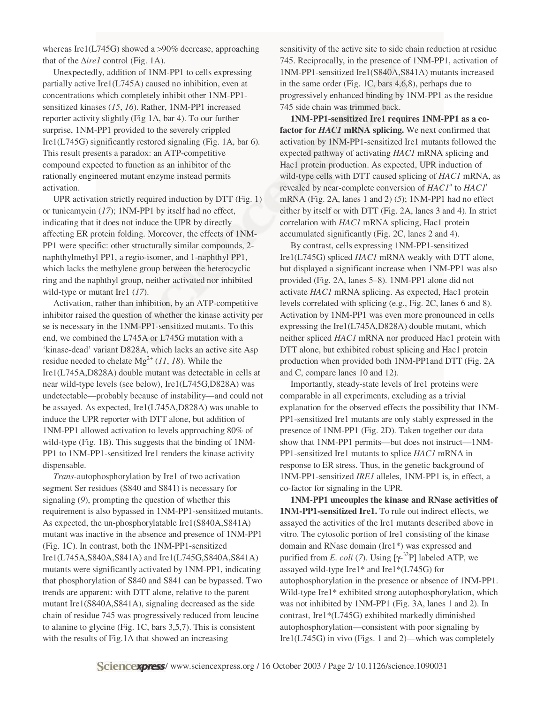whereas Ire1(L745G) showed a >90% decrease, approaching that of the ∆*ire1* control (Fig. 1A).

Unexpectedly, addition of 1NM-PP1 to cells expressing partially active Ire1(L745A) caused no inhibition, even at concentrations which completely inhibit other 1NM-PP1 sensitized kinases (*15*, *16*). Rather, 1NM-PP1 increased reporter activity slightly (Fig 1A, bar 4). To our further surprise, 1NM-PP1 provided to the severely crippled Ire1(L745G) significantly restored signaling (Fig. 1A, bar 6). This result presents a paradox: an ATP-competitive compound expected to function as an inhibitor of the rationally engineered mutant enzyme instead permits activation.

UPR activation strictly required induction by DTT (Fig. 1) or tunicamycin (*17*); 1NM-PP1 by itself had no effect, indicating that it does not induce the UPR by directly affecting ER protein folding. Moreover, the effects of 1NM-PP1 were specific: other structurally similar compounds, 2 naphthylmethyl PP1, a regio-isomer, and 1-naphthyl PP1, which lacks the methylene group between the heterocyclic ring and the naphthyl group, neither activated nor inhibited wild-type or mutant Ire1 (*17*).

Activation, rather than inhibition, by an ATP-competitive inhibitor raised the question of whether the kinase activity per se is necessary in the 1NM-PP1-sensitized mutants. To this end, we combined the L745A or L745G mutation with a 'kinase-dead' variant D828A, which lacks an active site Asp residue needed to chelate  $Mg^{2+}(11, 18)$ . While the Ire1(L745A,D828A) double mutant was detectable in cells at near wild-type levels (see below), Ire1(L745G,D828A) was undetectable—probably because of instability—and could not be assayed. As expected, Ire1(L745A,D828A) was unable to induce the UPR reporter with DTT alone, but addition of 1NM-PP1 allowed activation to levels approaching 80% of wild-type (Fig. 1B). This suggests that the binding of 1NM-PP1 to 1NM-PP1-sensitized Ire1 renders the kinase activity dispensable.

*Trans*-autophosphorylation by Ire1 of two activation segment Ser residues (S840 and S841) is necessary for signaling (*9*), prompting the question of whether this requirement is also bypassed in 1NM-PP1-sensitized mutants. As expected, the un-phosphorylatable Ire1(S840A,S841A) mutant was inactive in the absence and presence of 1NM-PP1 (Fig. 1C). In contrast, both the 1NM-PP1-sensitized Ire1(L745A,S840A,S841A) and Ire1(L745G,S840A,S841A) mutants were significantly activated by 1NM-PP1, indicating that phosphorylation of S840 and S841 can be bypassed. Two trends are apparent: with DTT alone, relative to the parent mutant Ire1(S840A,S841A), signaling decreased as the side chain of residue 745 was progressively reduced from leucine to alanine to glycine (Fig. 1C, bars 3,5,7). This is consistent with the results of Fig.1A that showed an increasing

sensitivity of the active site to side chain reduction at residue 745. Reciprocally, in the presence of 1NM-PP1, activation of 1NM-PP1-sensitized Ire1(S840A,S841A) mutants increased in the same order (Fig. 1C, bars 4,6,8), perhaps due to progressively enhanced binding by 1NM-PP1 as the residue 745 side chain was trimmed back.

**1NM-PP1-sensitized Ire1 requires 1NM-PP1 as a cofactor for** *HAC1* **mRNA splicing.** We next confirmed that activation by 1NM-PP1-sensitized Ire1 mutants followed the expected pathway of activating *HAC1* mRNA splicing and Hac1 protein production. As expected, UPR induction of wild-type cells with DTT caused splicing of *HAC1* mRNA, as revealed by near-complete conversion of  $HACI<sup>u</sup>$  to  $HACI<sup>i</sup>$ mRNA (Fig. 2A, lanes 1 and 2) (*5*); 1NM-PP1 had no effect either by itself or with DTT (Fig. 2A, lanes 3 and 4). In strict correlation with *HAC1* mRNA splicing, Hac1 protein accumulated significantly (Fig. 2C, lanes 2 and 4).

By contrast, cells expressing 1NM-PP1-sensitized Ire1(L745G) spliced *HAC1* mRNA weakly with DTT alone, but displayed a significant increase when 1NM-PP1 was also provided (Fig. 2A, lanes 5–8). 1NM-PP1 alone did not activate *HAC1* mRNA splicing. As expected, Hac1 protein levels correlated with splicing (e.g., Fig. 2C, lanes 6 and 8). Activation by 1NM-PP1 was even more pronounced in cells expressing the Ire1(L745A,D828A) double mutant, which neither spliced *HAC1* mRNA nor produced Hac1 protein with DTT alone, but exhibited robust splicing and Hac1 protein production when provided both 1NM-PP1and DTT (Fig. 2A and C, compare lanes 10 and 12).

Importantly, steady-state levels of Ire1 proteins were comparable in all experiments, excluding as a trivial explanation for the observed effects the possibility that 1NM-PP1-sensitized Ire1 mutants are only stably expressed in the presence of 1NM-PP1 (Fig. 2D). Taken together our data show that 1NM-PP1 permits—but does not instruct—1NM-PP1-sensitized Ire1 mutants to splice *HAC1* mRNA in response to ER stress. Thus, in the genetic background of 1NM-PP1-sensitized *IRE1* alleles, 1NM-PP1 is, in effect, a co-factor for signaling in the UPR.

**1NM-PP1 uncouples the kinase and RNase activities of 1NM-PP1-sensitized Ire1.** To rule out indirect effects, we assayed the activities of the Ire1 mutants described above in vitro. The cytosolic portion of Ire1 consisting of the kinase domain and RNase domain (Ire1\*) was expressed and purified from *E. coli* (7). Using  $[\gamma^{32}P]$  labeled ATP, we assayed wild-type Ire1\* and Ire1\*(L745G) for autophosphorylation in the presence or absence of 1NM-PP1. Wild-type Ire1<sup>\*</sup> exhibited strong autophosphorylation, which was not inhibited by 1NM-PP1 (Fig. 3A, lanes 1 and 2). In contrast, Ire1\*(L745G) exhibited markedly diminished autophosphorylation—consistent with poor signaling by Ire1(L745G) in vivo (Figs. 1 and 2)—which was completely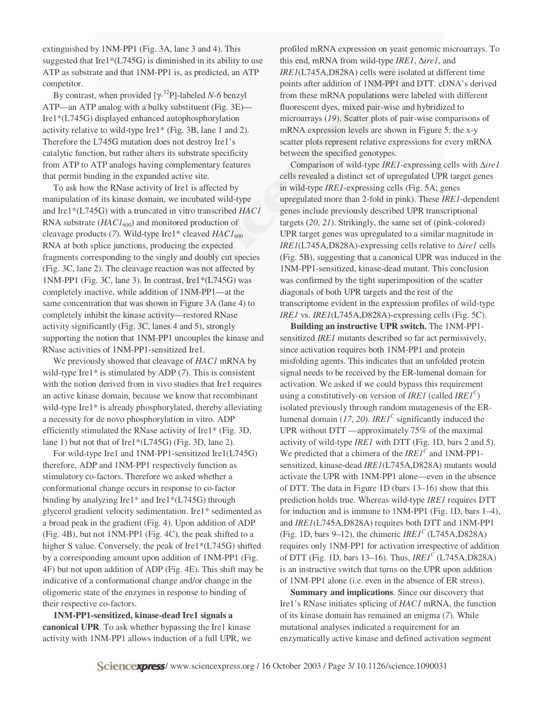extinguished by 1NM-PP1 (Fig. 3A, lane 3 and 4). This suggested that  $Irel*(L745G)$  is diminished in its ability to use ATP as substrate and that 1NM-PP1 is, as predicted, an ATP competitor.

By contrast, when provided [γ-32P]-labeled *N-6* benzyl ATP—an ATP analog with a bulky substituent (Fig. 3E)— Ire1\*(L745G) displayed enhanced autophosphorylation activity relative to wild-type Ire1\* (Fig. 3B, lane 1 and 2). Therefore the L745G mutation does not destroy Ire1's catalytic function, but rather alters its substrate specificity from ATP to ATP analogs having complementary features that permit binding in the expanded active site.

To ask how the RNase activity of Ire1 is affected by manipulation of its kinase domain, we incubated wild-type and Ire1\*(L745G) with a truncated in vitro transcribed *HAC1* RNA substrate (*HAC1*<sub>600</sub>) and monitored production of cleavage products (7). Wild-type Ire1<sup>\*</sup> cleaved *HAC1*<sub>600</sub> RNA at both splice junctions, producing the expected fragments corresponding to the singly and doubly cut species (Fig. 3C, lane 2). The cleavage reaction was not affected by 1NM-PP1 (Fig. 3C, lane 3). In contrast, Ire1\*(L745G) was completely inactive, while addition of 1NM-PP1—at the same concentration that was shown in Figure 3A (lane 4) to completely inhibit the kinase activity—restored RNase activity significantly (Fig. 3C, lanes 4 and 5), strongly supporting the notion that 1NM-PP1 uncouples the kinase and RNase activities of 1NM-PP1-sensitized Ire1.

We previously showed that cleavage of *HAC1* mRNA by wild-type Ire1\* is stimulated by ADP (*7*). This is consistent with the notion derived from in vivo studies that Ire1 requires an active kinase domain, because we know that recombinant wild-type Ire1<sup>\*</sup> is already phosphorylated, thereby alleviating a necessity for de novo phosphorylation in vitro. ADP efficiently stimulated the RNase activity of Ire1\* (Fig. 3D, lane 1) but not that of Ire1\*(L745G) (Fig. 3D, lane 2).

For wild-type Ire1 and 1NM-PP1-sensitized Ire1(L745G) therefore, ADP and 1NM-PP1 respectively function as stimulatory co-factors. Therefore we asked whether a conformational change occurs in response to co-factor binding by analyzing Ire1\* and Ire1\*(L745G) through glycerol gradient velocity sedimentation. Ire1\* sedimented as a broad peak in the gradient (Fig. 4). Upon addition of ADP (Fig. 4B), but not 1NM-PP1 (Fig. 4C), the peak shifted to a higher S value. Conversely, the peak of Ire1\*(L745G) shifted by a corresponding amount upon addition of 1NM-PP1 (Fig. 4F) but not upon addition of ADP (Fig. 4E). This shift may be indicative of a conformational change and/or change in the oligomeric state of the enzymes in response to binding of their respective co-factors.

**1NM-PP1-sensitized, kinase-dead Ire1 signals a canonical UPR**. To ask whether bypassing the Ire1 kinase activity with 1NM-PP1 allows induction of a full UPR, we profiled mRNA expression on yeast genomic microarrays. To this end, mRNA from wild-type *IRE1*, ∆*ire1*, and *IRE1*(L745A,D828A) cells were isolated at different time points after addition of 1NM-PP1 and DTT. cDNA's derived from these mRNA populations were labeled with different fluorescent dyes, mixed pair-wise and hybridized to microarrays (*19*). Scatter plots of pair-wise comparisons of mRNA expression levels are shown in Figure 5; the x-y scatter plots represent relative expressions for every mRNA between the specified genotypes.

Comparison of wild-type *IRE1-*expressing cells with ∆*ire1* cells revealed a distinct set of upregulated UPR target genes in wild-type *IRE1*-expressing cells (Fig. 5A; genes upregulated more than 2-fold in pink). These *IRE1*-dependent genes include previously described UPR transcriptional targets (*20*, *21*). Strikingly, the same set of (pink-colored) UPR target genes was upregulated to a similar magnitude in *IRE1*(L745A,D828A)*-*expressing cells relative to ∆*ire1* cells (Fig. 5B), suggesting that a canonical UPR was induced in the 1NM-PP1-sensitized, kinase-dead mutant. This conclusion was confirmed by the tight superimposition of the scatter diagonals of both UPR targets and the rest of the transcriptome evident in the expression profiles of wild-type *IRE1* vs. *IRE1*(L745A,D828A)-expressing cells (Fig. 5C).

**Building an instructive UPR switch.** The 1NM-PP1 sensitized *IRE1* mutants described so far act permissively, since activation requires both 1NM-PP1 and protein misfolding agents. This indicates that an unfolded protein signal needs to be received by the ER-lumenal domain for activation. We asked if we could bypass this requirement using a constitutively-on version of *IRE1* (called *IRE1<sup>C</sup>* ) isolated previously through random mutagenesis of the ERlumenal domain (*17*, *20*). *IRE1<sup>C</sup>* significantly induced the UPR without DTT —approximately 75% of the maximal activity of wild-type *IRE1* with DTT (Fig. 1D, bars 2 and 5). We predicted that a chimera of the *IRE1<sup>C</sup>* and 1NM-PP1sensitized, kinase-dead *IRE1*(L745A,D828A) mutants would activate the UPR with 1NM-PP1 alone—even in the absence of DTT. The data in Figure 1D (bars 13–16) show that this prediction holds true. Whereas wild-type *IRE1* requires DTT for induction and is immune to 1NM-PP1 (Fig. 1D, bars 1–4), and *IRE1*(L745A,D828A) requires both DTT and 1NM-PP1 (Fig. 1D, bars 9–12), the chimeric  $IREI^C$  (L745A,D828A) requires only 1NM-PP1 for activation irrespective of addition of DTT (Fig. 1D, bars 13–16). Thus, *IRE1<sup>C</sup>* (L745A,D828A) is an instructive switch that turns on the UPR upon addition of 1NM-PP1 alone (i.e. even in the absence of ER stress).

**Summary and implications**. Since our discovery that Ire1's RNase initiates splicing of *HAC1* mRNA, the function of its kinase domain has remained an enigma (*7*). While mutational analyses indicated a requirement for an enzymatically active kinase and defined activation segment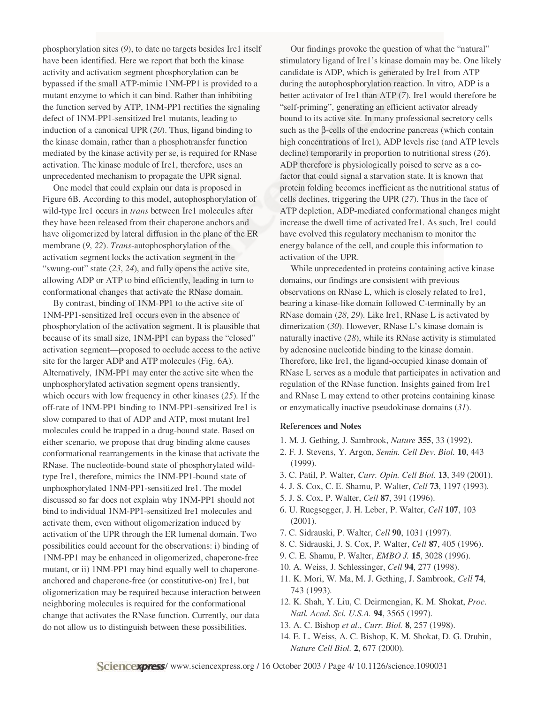phosphorylation sites (*9*), to date no targets besides Ire1 itself have been identified. Here we report that both the kinase activity and activation segment phosphorylation can be bypassed if the small ATP-mimic 1NM-PP1 is provided to a mutant enzyme to which it can bind. Rather than inhibiting the function served by ATP, 1NM-PP1 rectifies the signaling defect of 1NM-PP1-sensitized Ire1 mutants, leading to induction of a canonical UPR (*20*). Thus, ligand binding to the kinase domain, rather than a phosphotransfer function mediated by the kinase activity per se, is required for RNase activation. The kinase module of Ire1, therefore, uses an unprecedented mechanism to propagate the UPR signal.

One model that could explain our data is proposed in Figure 6B. According to this model, autophosphorylation of wild-type Ire1 occurs in *trans* between Ire1 molecules after they have been released from their chaperone anchors and have oligomerized by lateral diffusion in the plane of the ER membrane (*9*, *22*). *Trans-*autophosphorylation of the activation segment locks the activation segment in the "swung-out" state (*23*, *24*), and fully opens the active site, allowing ADP or ATP to bind efficiently, leading in turn to conformational changes that activate the RNase domain.

By contrast, binding of 1NM-PP1 to the active site of 1NM-PP1-sensitized Ire1 occurs even in the absence of phosphorylation of the activation segment. It is plausible that because of its small size, 1NM-PP1 can bypass the "closed" activation segment—proposed to occlude access to the active site for the larger ADP and ATP molecules (Fig. 6A). Alternatively, 1NM-PP1 may enter the active site when the unphosphorylated activation segment opens transiently, which occurs with low frequency in other kinases (*25*). If the off-rate of 1NM-PP1 binding to 1NM-PP1-sensitized Ire1 is slow compared to that of ADP and ATP, most mutant Ire1 molecules could be trapped in a drug-bound state. Based on either scenario, we propose that drug binding alone causes conformational rearrangements in the kinase that activate the RNase. The nucleotide-bound state of phosphorylated wildtype Ire1, therefore, mimics the 1NM-PP1-bound state of unphosphorylated 1NM-PP1-sensitized Ire1. The model discussed so far does not explain why 1NM-PP1 should not bind to individual 1NM-PP1-sensitized Ire1 molecules and activate them, even without oligomerization induced by activation of the UPR through the ER lumenal domain. Two possibilities could account for the observations: i) binding of 1NM-PP1 may be enhanced in oligomerized, chaperone-free mutant, or ii) 1NM-PP1 may bind equally well to chaperoneanchored and chaperone-free (or constitutive-on) Ire1, but oligomerization may be required because interaction between neighboring molecules is required for the conformational change that activates the RNase function. Currently, our data do not allow us to distinguish between these possibilities.

Our findings provoke the question of what the "natural" stimulatory ligand of Ire1's kinase domain may be. One likely candidate is ADP, which is generated by Ire1 from ATP during the autophosphorylation reaction. In vitro, ADP is a better activator of Ire1 than ATP (*7*). Ire1 would therefore be "self-priming", generating an efficient activator already bound to its active site. In many professional secretory cells such as the β-cells of the endocrine pancreas (which contain high concentrations of Ire1), ADP levels rise (and ATP levels decline) temporarily in proportion to nutritional stress (*26*). ADP therefore is physiologically poised to serve as a cofactor that could signal a starvation state. It is known that protein folding becomes inefficient as the nutritional status of cells declines, triggering the UPR (*27*). Thus in the face of ATP depletion, ADP-mediated conformational changes might increase the dwell time of activated Ire1. As such, Ire1 could have evolved this regulatory mechanism to monitor the energy balance of the cell, and couple this information to activation of the UPR.

While unprecedented in proteins containing active kinase domains, our findings are consistent with previous observations on RNase L, which is closely related to Ire1, bearing a kinase-like domain followed C-terminally by an RNase domain (*28*, *29*). Like Ire1, RNase L is activated by dimerization (*30*). However, RNase L's kinase domain is naturally inactive (*28*), while its RNase activity is stimulated by adenosine nucleotide binding to the kinase domain. Therefore, like Ire1, the ligand-occupied kinase domain of RNase L serves as a module that participates in activation and regulation of the RNase function. Insights gained from Ire1 and RNase L may extend to other proteins containing kinase or enzymatically inactive pseudokinase domains (*31*).

#### **References and Notes**

- 1. M. J. Gething, J. Sambrook, *Nature* **355**, 33 (1992).
- 2. F. J. Stevens, Y. Argon, *Semin. Cell Dev. Biol.* **10**, 443 (1999).
- 3. C. Patil, P. Walter, *Curr. Opin. Cell Biol.* **13**, 349 (2001).
- 4. J. S. Cox, C. E. Shamu, P. Walter, *Cell* **73**, 1197 (1993).
- 5. J. S. Cox, P. Walter, *Cell* **87**, 391 (1996).
- 6. U. Ruegsegger, J. H. Leber, P. Walter, *Cell* **107**, 103 (2001).
- 7. C. Sidrauski, P. Walter, *Cell* **90**, 1031 (1997).
- 8. C. Sidrauski, J. S. Cox, P. Walter, *Cell* **87**, 405 (1996).
- 9. C. E. Shamu, P. Walter, *EMBO J.* **15**, 3028 (1996).
- 10. A. Weiss, J. Schlessinger, *Cell* **94**, 277 (1998).
- 11. K. Mori, W. Ma, M. J. Gething, J. Sambrook, *Cell* **74**, 743 (1993).
- 12. K. Shah, Y. Liu, C. Deirmengian, K. M. Shokat, *Proc. Natl. Acad. Sci. U.S.A.* **94**, 3565 (1997).
- 13. A. C. Bishop *et al.*, *Curr. Biol.* **8**, 257 (1998).
- 14. E. L. Weiss, A. C. Bishop, K. M. Shokat, D. G. Drubin, *Nature Cell Biol.* **2**, 677 (2000).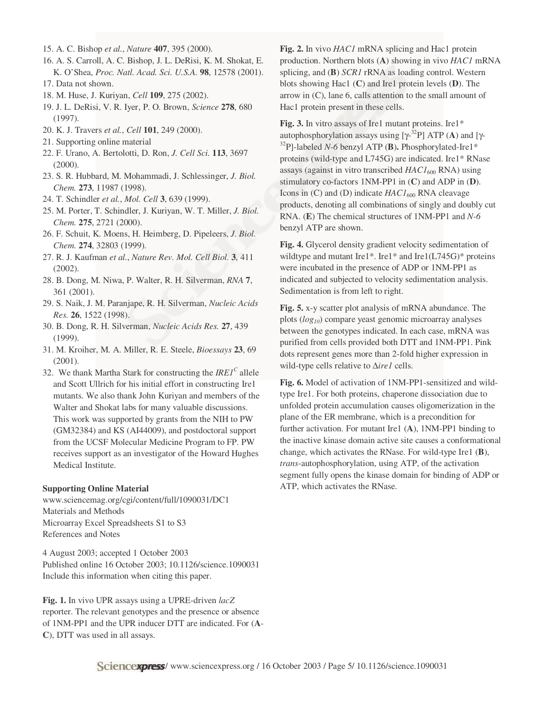- 15. A. C. Bishop *et al.*, *Nature* **407**, 395 (2000).
- 16. A. S. Carroll, A. C. Bishop, J. L. DeRisi, K. M. Shokat, E. K. O'Shea, *Proc. Natl. Acad. Sci. U.S.A.* **98**, 12578 (2001). 17. Data not shown.
- 18. M. Huse, J. Kuriyan, *Cell* **109**, 275 (2002).
- 19. J. L. DeRisi, V. R. Iyer, P. O. Brown, *Science* **278**, 680 (1997).
- 20. K. J. Travers *et al.*, *Cell* **101**, 249 (2000).
- 21. Supporting online material
- 22. F. Urano, A. Bertolotti, D. Ron, *J. Cell Sci.* **113**, 3697 (2000).
- 23. S. R. Hubbard, M. Mohammadi, J. Schlessinger, *J. Biol. Chem.* **273**, 11987 (1998).
- 24. T. Schindler *et al.*, *Mol. Cell* **3**, 639 (1999).
- 25. M. Porter, T. Schindler, J. Kuriyan, W. T. Miller, *J. Biol. Chem.* **275**, 2721 (2000).
- 26. F. Schuit, K. Moens, H. Heimberg, D. Pipeleers, *J. Biol. Chem.* **274**, 32803 (1999).
- 27. R. J. Kaufman *et al.*, *Nature Rev. Mol. Cell Biol.* **3**, 411 (2002).
- 28. B. Dong, M. Niwa, P. Walter, R. H. Silverman, *RNA* **7**, 361 (2001).
- 29. S. Naik, J. M. Paranjape, R. H. Silverman, *Nucleic Acids Res.* **26**, 1522 (1998).
- 30. B. Dong, R. H. Silverman, *Nucleic Acids Res.* **27**, 439 (1999).
- 31. M. Kroiher, M. A. Miller, R. E. Steele, *Bioessays* **23**, 69 (2001).
- 32. We thank Martha Stark for constructing the *IRE1<sup>C</sup>* allele and Scott Ullrich for his initial effort in constructing Ire1 mutants. We also thank John Kuriyan and members of the Walter and Shokat labs for many valuable discussions. This work was supported by grants from the NIH to PW (GM32384) and KS (AI44009), and postdoctoral support from the UCSF Molecular Medicine Program to FP. PW receives support as an investigator of the Howard Hughes Medical Institute.

### **Supporting Online Material**

www.sciencemag.org/cgi/content/full/1090031/DC1 Materials and Methods Microarray Excel Spreadsheets S1 to S3 References and Notes

4 August 2003; accepted 1 October 2003 Published online 16 October 2003; 10.1126/science.1090031 Include this information when citing this paper.

**Fig. 1.** In vivo UPR assays using a UPRE-driven *lacZ* reporter. The relevant genotypes and the presence or absence of 1NM-PP1 and the UPR inducer DTT are indicated. For (**A**-**C**), DTT was used in all assays.

**Fig. 2.** In vivo *HAC1* mRNA splicing and Hac1 protein production. Northern blots (**A**) showing in vivo *HAC1* mRNA splicing, and (**B**) *SCR1* rRNA as loading control. Western blots showing Hac1 (**C**) and Ire1 protein levels (**D**). The arrow in (C), lane 6, calls attention to the small amount of Hac1 protein present in these cells.

**Fig. 3.** In vitro assays of Ire1 mutant proteins. Ire1\* autophosphorylation assays using [γ-32P] ATP (**A**) and [γ- 32P]-labeled *N-6* benzyl ATP (**B**)**.** Phosphorylated-Ire1\* proteins (wild-type and L745G) are indicated. Ire1\* RNase assays (against in vitro transcribed *HAC1*<sub>600</sub> RNA) using stimulatory co-factors 1NM-PP1 in (**C**) and ADP in (**D**). Icons in (C) and (D) indicate  $HACI_{600}$  RNA cleavage products, denoting all combinations of singly and doubly cut RNA. (**E**) The chemical structures of 1NM-PP1 and *N-6* benzyl ATP are shown.

**Fig. 4.** Glycerol density gradient velocity sedimentation of wildtype and mutant Ire1<sup>\*</sup>. Ire1<sup>\*</sup> and Ire1(L745G)<sup>\*</sup> proteins were incubated in the presence of ADP or 1NM-PP1 as indicated and subjected to velocity sedimentation analysis. Sedimentation is from left to right.

**Fig. 5.** x-y scatter plot analysis of mRNA abundance. The plots (*log10*) compare yeast genomic microarray analyses between the genotypes indicated. In each case, mRNA was purified from cells provided both DTT and 1NM-PP1. Pink dots represent genes more than 2-fold higher expression in wild-type cells relative to ∆*ire1* cells.

**Fig. 6.** Model of activation of 1NM-PP1-sensitized and wildtype Ire1. For both proteins, chaperone dissociation due to unfolded protein accumulation causes oligomerization in the plane of the ER membrane, which is a precondition for further activation. For mutant Ire1 (**A**), 1NM-PP1 binding to the inactive kinase domain active site causes a conformational change, which activates the RNase. For wild-type Ire1 (**B**), *trans*-autophosphorylation, using ATP, of the activation segment fully opens the kinase domain for binding of ADP or ATP, which activates the RNase.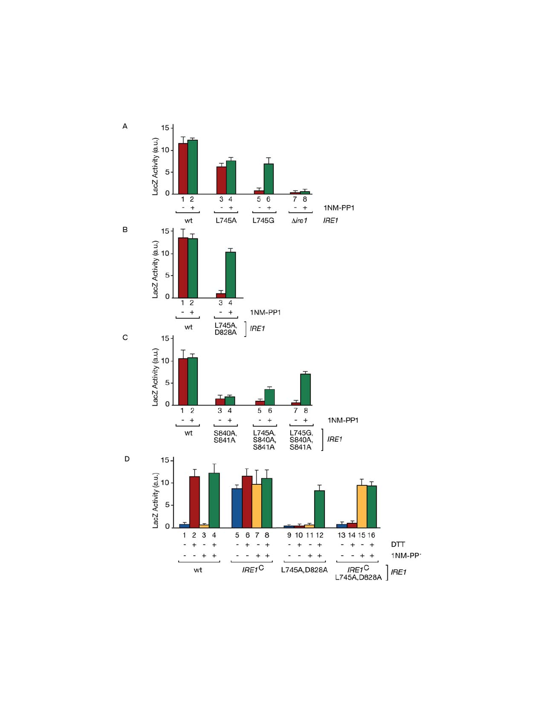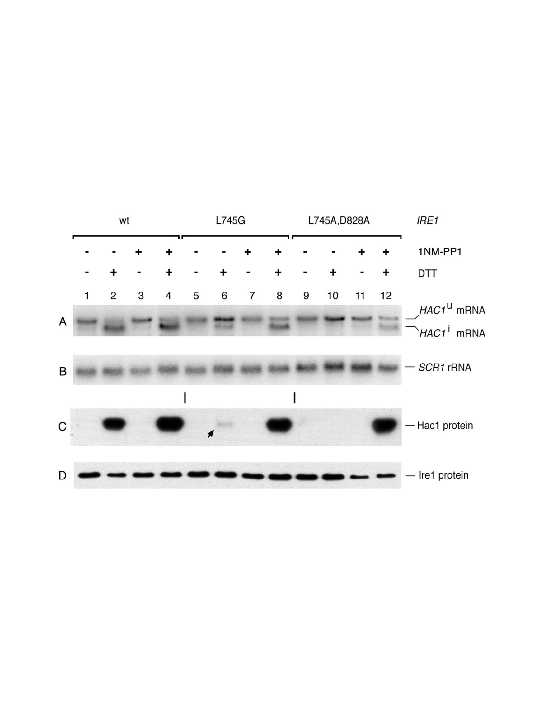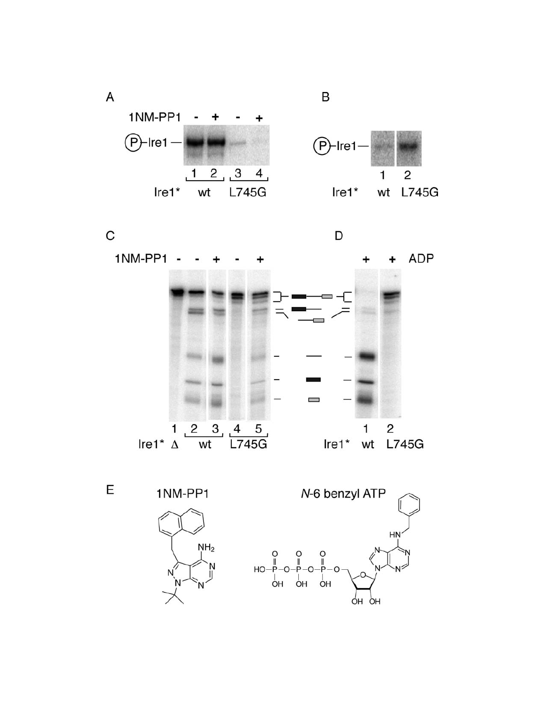



 $\mathsf C$ 



B







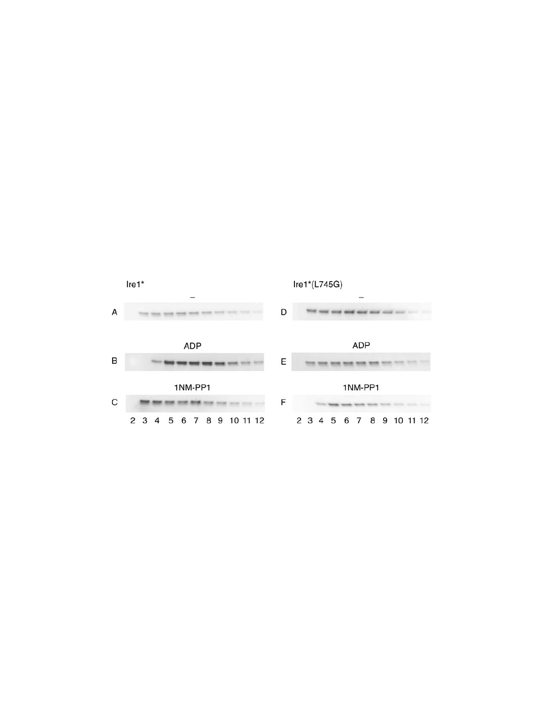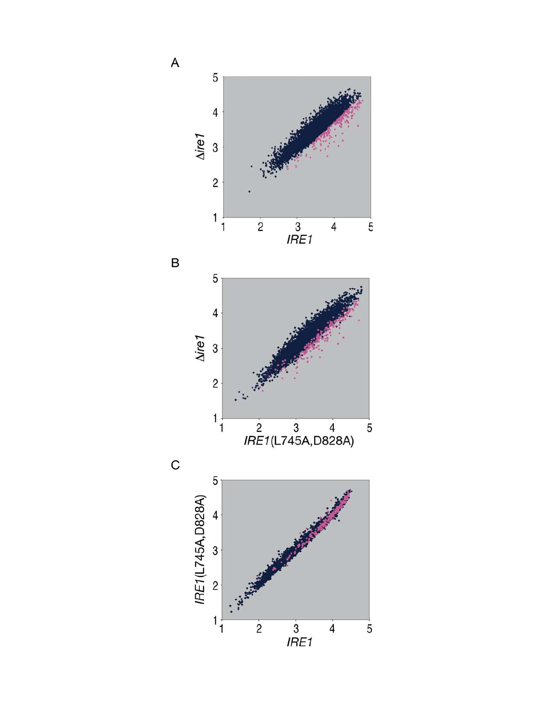